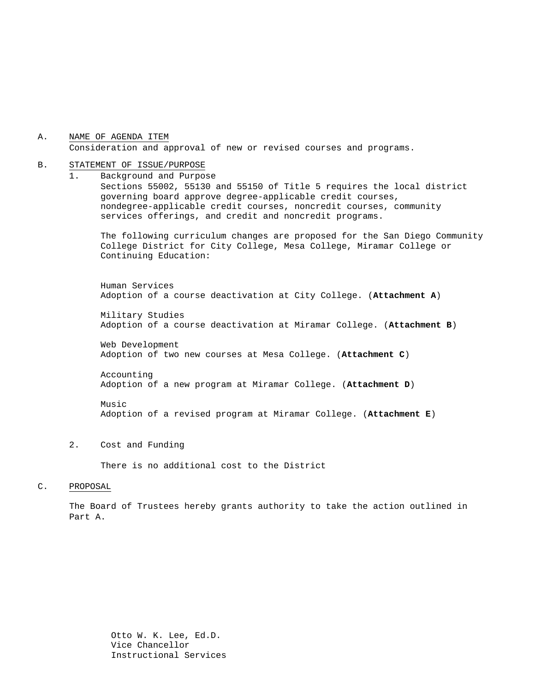#### A. NAME OF AGENDA ITEM Consideration and approval of new or revised courses and programs.

#### B. STATEMENT OF ISSUE/PURPOSE

1. Background and Purpose Sections 55002, 55130 and 55150 of Title 5 requires the local district governing board approve degree-applicable credit courses, nondegree-applicable credit courses, noncredit courses, community services offerings, and credit and noncredit programs.

The following curriculum changes are proposed for the San Diego Community College District for City College, Mesa College, Miramar College or Continuing Education:

 Human Services Adoption of a course deactivation at City College. (**Attachment A**)

Military Studies Adoption of a course deactivation at Miramar College. (**Attachment B**)

Web Development Adoption of two new courses at Mesa College. (**Attachment C**)

Accounting Adoption of a new program at Miramar College. (**Attachment D**)

Music Adoption of a revised program at Miramar College. (**Attachment E**)

2. Cost and Funding

There is no additional cost to the District

#### C. PROPOSAL

The Board of Trustees hereby grants authority to take the action outlined in Part A.

> Otto W. K. Lee, Ed.D. Vice Chancellor Instructional Services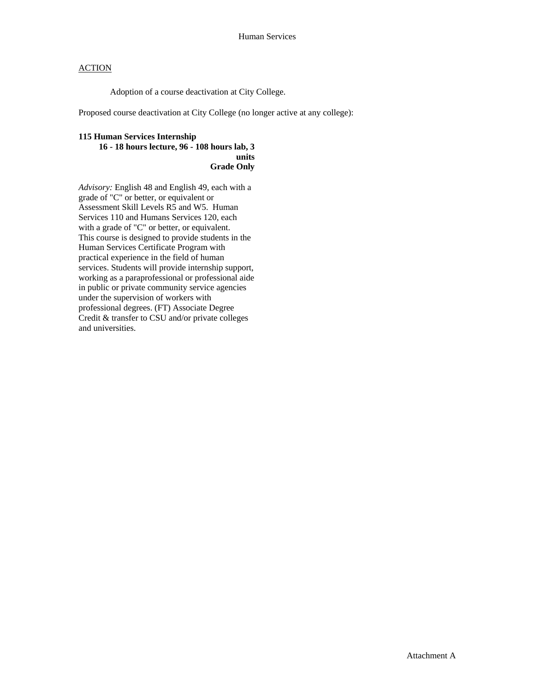Adoption of a course deactivation at City College.

Proposed course deactivation at City College (no longer active at any college):

### **115 Human Services Internship 16 - 18 hours lecture, 96 - 108 hours lab, 3 units**

**Grade Only** 

*Advisory:* English 48 and English 49, each with a grade of "C" or better, or equivalent or Assessment Skill Levels R5 and W5. Human Services 110 and Humans Services 120, each with a grade of "C" or better, or equivalent. This course is designed to provide students in the Human Services Certificate Program with practical experience in the field of human services. Students will provide internship support, working as a paraprofessional or professional aide in public or private community service agencies under the supervision of workers with professional degrees. (FT) Associate Degree Credit & transfer to CSU and/or private colleges and universities.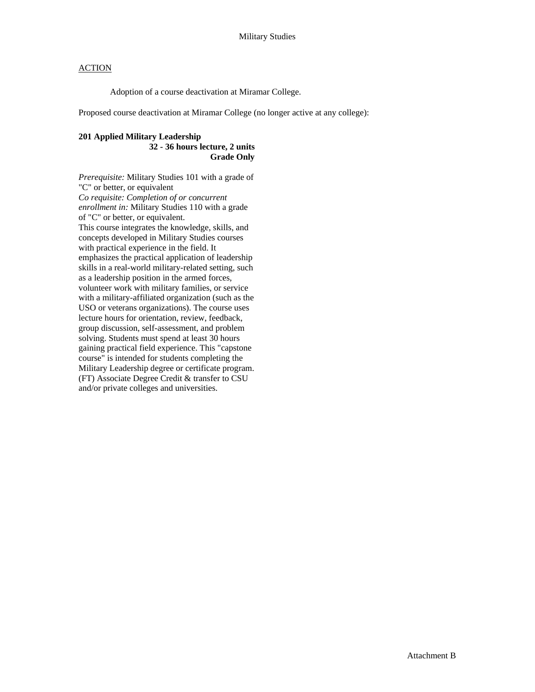Adoption of a course deactivation at Miramar College.

Proposed course deactivation at Miramar College (no longer active at any college):

#### **201 Applied Military Leadership 32 - 36 hours lecture, 2 units Grade Only**

*Prerequisite:* Military Studies 101 with a grade of "C" or better, or equivalent *Co requisite: Completion of or concurrent enrollment in:* Military Studies 110 with a grade of "C" or better, or equivalent. This course integrates the knowledge, skills, and concepts developed in Military Studies courses with practical experience in the field. It emphasizes the practical application of leadership skills in a real-world military-related setting, such as a leadership position in the armed forces, volunteer work with military families, or service with a military-affiliated organization (such as the USO or veterans organizations). The course uses lecture hours for orientation, review, feedback, group discussion, self-assessment, and problem solving. Students must spend at least 30 hours gaining practical field experience. This "capstone course" is intended for students completing the Military Leadership degree or certificate program. (FT) Associate Degree Credit & transfer to CSU and/or private colleges and universities.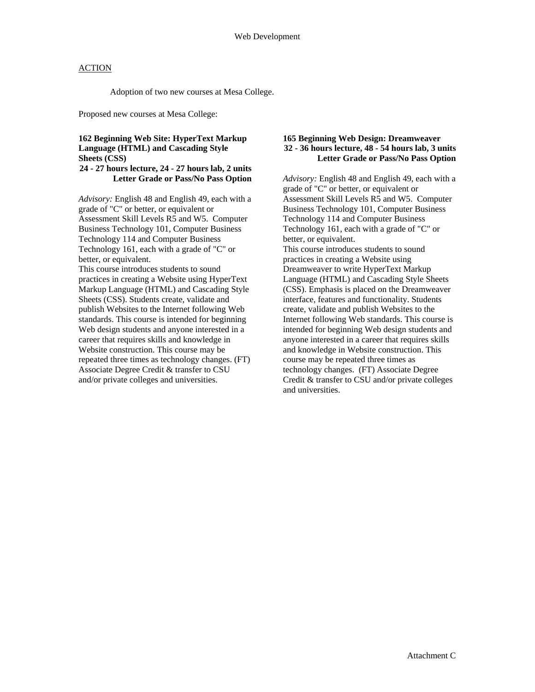Adoption of two new courses at Mesa College.

Proposed new courses at Mesa College:

### **162 Beginning Web Site: HyperText Markup Language (HTML) and Cascading Style Sheets (CSS)**

#### **24 - 27 hours lecture, 24 - 27 hours lab, 2 units Letter Grade or Pass/No Pass Option**

*Advisory:* English 48 and English 49, each with a grade of "C" or better, or equivalent or Assessment Skill Levels R5 and W5. Computer Business Technology 101, Computer Business Technology 114 and Computer Business Technology 161, each with a grade of "C" or better, or equivalent.

This course introduces students to sound practices in creating a Website using HyperText Markup Language (HTML) and Cascading Style Sheets (CSS). Students create, validate and publish Websites to the Internet following Web standards. This course is intended for beginning Web design students and anyone interested in a career that requires skills and knowledge in Website construction. This course may be repeated three times as technology changes. (FT) Associate Degree Credit & transfer to CSU and/or private colleges and universities.

#### **165 Beginning Web Design: Dreamweaver 32 - 36 hours lecture, 48 - 54 hours lab, 3 units Letter Grade or Pass/No Pass Option**

*Advisory:* English 48 and English 49, each with a grade of "C" or better, or equivalent or Assessment Skill Levels R5 and W5. Computer Business Technology 101, Computer Business Technology 114 and Computer Business Technology 161, each with a grade of "C" or better, or equivalent. This course introduces students to sound practices in creating a Website using Dreamweaver to write HyperText Markup Language (HTML) and Cascading Style Sheets (CSS). Emphasis is placed on the Dreamweaver interface, features and functionality. Students create, validate and publish Websites to the Internet following Web standards. This course is intended for beginning Web design students and anyone interested in a career that requires skills and knowledge in Website construction. This course may be repeated three times as technology changes. (FT) Associate Degree Credit & transfer to CSU and/or private colleges and universities.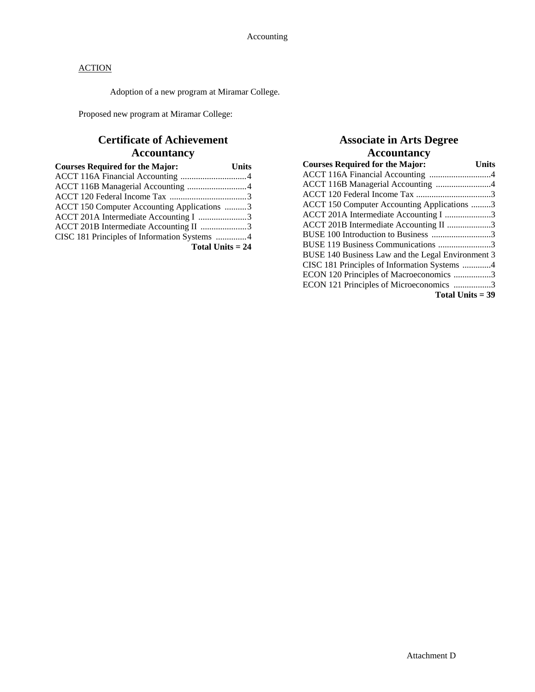Adoption of a new program at Miramar College.

Proposed new program at Miramar College:

# **Certificate of Achievement Accountancy**

| <b>Courses Required for the Major:</b>       | <b>Units</b> |
|----------------------------------------------|--------------|
|                                              |              |
| ACCT 116B Managerial Accounting 4            |              |
|                                              |              |
| ACCT 150 Computer Accounting Applications 3  |              |
| ACCT 201A Intermediate Accounting I 3        |              |
| ACCT 201B Intermediate Accounting II 3       |              |
| CISC 181 Principles of Information Systems 4 |              |
| Total Units $= 24$                           |              |

## **Associate in Arts Degree Accountancy**

| <b>Courses Required for the Major:</b>            | <b>Units</b> |
|---------------------------------------------------|--------------|
| ACCT 116A Financial Accounting 4                  |              |
| ACCT 116B Managerial Accounting 4                 |              |
|                                                   |              |
| ACCT 150 Computer Accounting Applications 3       |              |
| ACCT 201A Intermediate Accounting I 3             |              |
| ACCT 201B Intermediate Accounting II 3            |              |
| BUSE 100 Introduction to Business 3               |              |
| BUSE 119 Business Communications 3                |              |
| BUSE 140 Business Law and the Legal Environment 3 |              |
| CISC 181 Principles of Information Systems 4      |              |
| ECON 120 Principles of Macroeconomics 3           |              |
| ECON 121 Principles of Microeconomics 3           |              |
| Total Units $=$ 39                                |              |

Attachment D